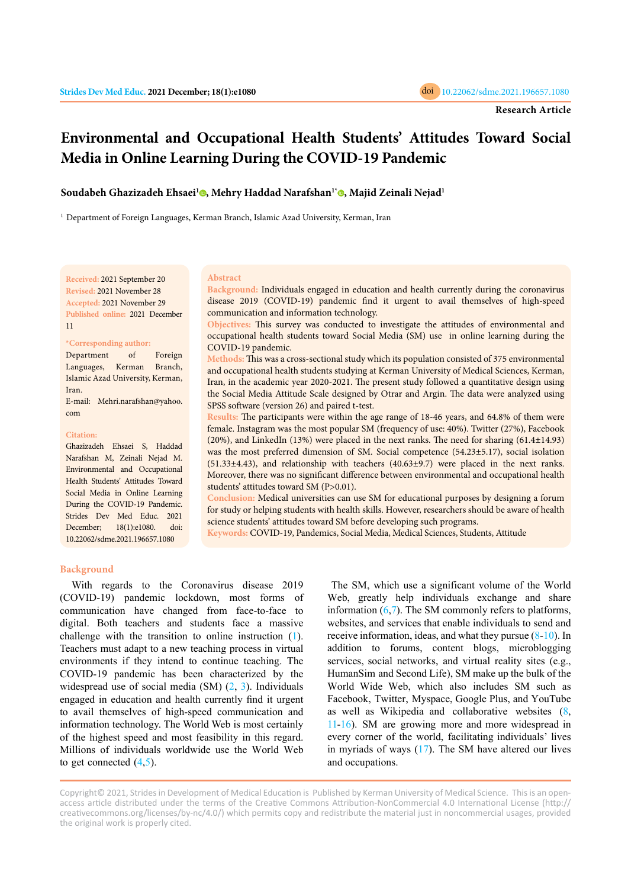

# **Environmental and Occupational Health Students' Attitudes Toward Social Media in Online Learning During the COVID-19 Pandemic**

**Soudabeh Ghazizadeh Ehsaei[1](https://orcid.org/0000-0002-8013-2390) , Mehry Haddad Narafshan1[\\*](https://orcid.org/0000-0003-2598-5291) , Majid Zeinali Nejad1**

<sup>1</sup> Department of Foreign Languages, Kerman Branch, Islamic Azad University, Kerman, Iran

**Received:** 2021 September 20 **Revised:** 2021 November 28 **Accepted:** 2021 November 29 **Published online:** 2021 December 11

## **\*Corresponding author:**

Department of Foreign Languages, Kerman Branch, Islamic Azad University, Kerman, Iran. E-mail: Mehri.narafshan@yahoo. com

#### **Citation:**

Ghazizadeh Ehsaei S, Haddad Narafshan M, Zeinali Nejad M. Environmental and Occupational Health Students' Attitudes Toward Social Media in Online Learning During the COVID-19 Pandemic. Strides Dev Med Educ. 2021 December; 18(1):e1080. doi: 10.22062/sdme.2021.196657.1080

#### **Abstract**

**Background:** Individuals engaged in education and health currently during the coronavirus disease 2019 (COVID-19) pandemic find it urgent to avail themselves of high-speed communication and information technology.

**Objectives:** This survey was conducted to investigate the attitudes of environmental and occupational health students toward Social Media (SM) use in online learning during the COVID-19 pandemic.

**Methods:** This was a cross-sectional study which its population consisted of 375 environmental and occupational health students studying at Kerman University of Medical Sciences, Kerman, Iran, in the academic year 2020-2021. The present study followed a quantitative design using the Social Media Attitude Scale designed by Otrar and Argin. The data were analyzed using SPSS software (version 26) and paired t-test.

**Results:** The participants were within the age range of 18-46 years, and 64.8% of them were female. Instagram was the most popular SM (frequency of use: 40%). Twitter (27%), Facebook (20%), and LinkedIn (13%) were placed in the next ranks. The need for sharing (61.4±14.93) was the most preferred dimension of SM. Social competence (54.23±5.17), social isolation (51.33±4.43), and relationship with teachers (40.63±9.7) were placed in the next ranks. Moreover, there was no significant difference between environmental and occupational health students' attitudes toward SM (P>0.01).

**Conclusion:** Medical universities can use SM for educational purposes by designing a forum for study or helping students with health skills. However, researchers should be aware of health science students' attitudes toward SM before developing such programs.

**Keywords:** COVID-19, Pandemics, Social Media, Medical Sciences, Students, Attitude

#### **Background**

With regards to the Coronavirus disease 2019 (COVID-19) pandemic lockdown, most forms of communication have changed from face-to-face to digital. Both teachers and students face a massive challenge with the transition to online instruction ([1\)](#page-3-0). Teachers must adapt to a new teaching process in virtual environments if they intend to continue teaching. The COVID-19 pandemic has been characterized by the widespread use of social media (SM) [\(2](#page-3-0), [3](#page-3-0)). Individuals engaged in education and health currently find it urgent to avail themselves of high-speed communication and information technology. The World Web is most certainly of the highest speed and most feasibility in this regard. Millions of individuals worldwide use the World Web to get connected  $(4,5)$  $(4,5)$ .

 The SM, which use a significant volume of the World Web, greatly help individuals exchange and share information  $(6,7)$  $(6,7)$  $(6,7)$ . The SM commonly refers to platforms, websites, and services that enable individuals to send and receive information, ideas, and what they pursue ([8-10\)](#page-3-0). In addition to forums, content blogs, microblogging services, social networks, and virtual reality sites (e.g., HumanSim and Second Life), SM make up the bulk of the World Wide Web, which also includes SM such as Facebook, Twitter, Myspace, Google Plus, and YouTube as well as Wikipedia and collaborative websites ([8,](#page-3-0) [11-16\)](#page-3-0). SM are growing more and more widespread in every corner of the world, facilitating individuals' lives in myriads of ways [\(17](#page-3-0)). The SM have altered our lives and occupations.

Copyright© 2021, Strides in Development of Medical Education is Published by Kerman University of Medical Science. This is an openaccess article distributed under the terms of the Creative Commons Attribution-NonCommercial 4.0 International License (http:// creativecommons.org/licenses/by-nc/4.0/) which permits copy and redistribute the material just in noncommercial usages, provided the original work is properly cited.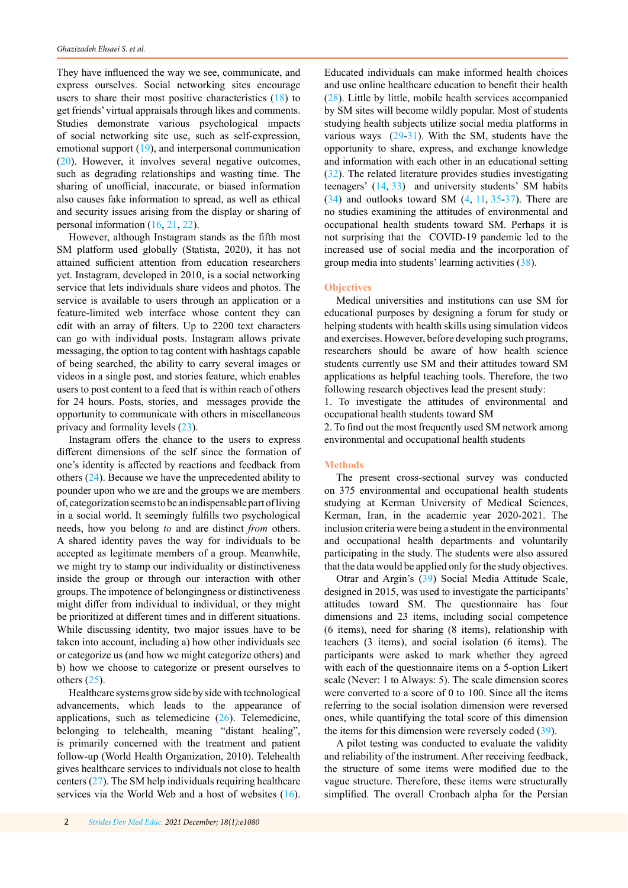They have influenced the way we see, communicate, and express ourselves. Social networking sites encourage users to share their most positive characteristics ([18\)](#page-3-0) to get friends' virtual appraisals through likes and comments. Studies demonstrate various psychological impacts of social networking site use, such as self-expression, emotional support [\(19](#page-3-0)), and interpersonal communication [\(20](#page-4-0)). However, it involves several negative outcomes, such as degrading relationships and wasting time. The sharing of unofficial, inaccurate, or biased information also causes fake information to spread, as well as ethical and security issues arising from the display or sharing of personal information [\(16](#page-3-0), [21](#page-4-0), [22](#page-4-0)).

However, although Instagram stands as the fifth most SM platform used globally (Statista, 2020), it has not attained sufficient attention from education researchers yet. Instagram, developed in 2010, is a social networking service that lets individuals share videos and photos. The service is available to users through an application or a feature-limited web interface whose content they can edit with an array of filters. Up to 2200 text characters can go with individual posts. Instagram allows private messaging, the option to tag content with hashtags capable of being searched, the ability to carry several images or videos in a single post, and stories feature, which enables users to post content to a feed that is within reach of others for 24 hours. Posts, stories, and messages provide the opportunity to communicate with others in miscellaneous privacy and formality levels [\(23](#page-4-0)).

Instagram offers the chance to the users to express different dimensions of the self since the formation of one's identity is affected by reactions and feedback from others [\(24](#page-4-0)). Because we have the unprecedented ability to pounder upon who we are and the groups we are members of, categorization seems to be an indispensable part of living in a social world. It seemingly fulfills two psychological needs, how you belong *to* and are distinct *from* others. A shared identity paves the way for individuals to be accepted as legitimate members of a group. Meanwhile, we might try to stamp our individuality or distinctiveness inside the group or through our interaction with other groups. The impotence of belongingness or distinctiveness might differ from individual to individual, or they might be prioritized at different times and in different situations. While discussing identity, two major issues have to be taken into account, including a) how other individuals see or categorize us (and how we might categorize others) and b) how we choose to categorize or present ourselves to others  $(25)$  $(25)$ .

Healthcare systems grow side by side with technological advancements, which leads to the appearance of applications, such as telemedicine  $(26)$  $(26)$ . Telemedicine, belonging to telehealth, meaning "distant healing", is primarily concerned with the treatment and patient follow-up (World Health Organization, 2010). Telehealth gives healthcare services to individuals not close to health centers ([27\)](#page-4-0). The SM help individuals requiring healthcare services via the World Web and a host of websites [\(16](#page-3-0)).

Educated individuals can make informed health choices and use online healthcare education to benefit their health ([28\)](#page-4-0). Little by little, mobile health services accompanied by SM sites will become wildly popular. Most of students studying health subjects utilize social media platforms in various ways ([29-31](#page-4-0)). With the SM, students have the opportunity to share, express, and exchange knowledge and information with each other in an educational setting ([32\)](#page-4-0). The related literature provides studies investigating teenagers' [\(14](#page-3-0), [33\)](#page-4-0) and university students' SM habits  $(34)$  and outlooks toward SM  $(4, 11, 35-37)$  $(4, 11, 35-37)$  $(4, 11, 35-37)$  $(4, 11, 35-37)$ . There are no studies examining the attitudes of environmental and occupational health students toward SM. Perhaps it is not surprising that the COVID-19 pandemic led to the increased use of social media and the incorporation of group media into students' learning activities [\(38](#page-4-0)).

# **Objectives**

Medical universities and institutions can use SM for educational purposes by designing a forum for study or helping students with health skills using simulation videos and exercises. However, before developing such programs, researchers should be aware of how health science students currently use SM and their attitudes toward SM applications as helpful teaching tools. Therefore, the two following research objectives lead the present study:

1. To investigate the attitudes of environmental and occupational health students toward SM

2. To find out the most frequently used SM network among environmental and occupational health students

## **Methods**

The present cross-sectional survey was conducted on 375 environmental and occupational health students studying at Kerman University of Medical Sciences, Kerman, Iran, in the academic year 2020-2021. The inclusion criteria were being a student in the environmental and occupational health departments and voluntarily participating in the study. The students were also assured that the data would be applied only for the study objectives.

Otrar and Argin's [\(39](#page-4-0)) Social Media Attitude Scale, designed in 2015, was used to investigate the participants' attitudes toward SM. The questionnaire has four dimensions and 23 items, including social competence (6 items), need for sharing (8 items), relationship with teachers (3 items), and social isolation (6 items). The participants were asked to mark whether they agreed with each of the questionnaire items on a 5-option Likert scale (Never: 1 to Always: 5). The scale dimension scores were converted to a score of 0 to 100. Since all the items referring to the social isolation dimension were reversed ones, while quantifying the total score of this dimension the items for this dimension were reversely coded [\(39](#page-4-0)).

A pilot testing was conducted to evaluate the validity and reliability of the instrument. After receiving feedback, the structure of some items were modified due to the vague structure. Therefore, these items were structurally simplified. The overall Cronbach alpha for the Persian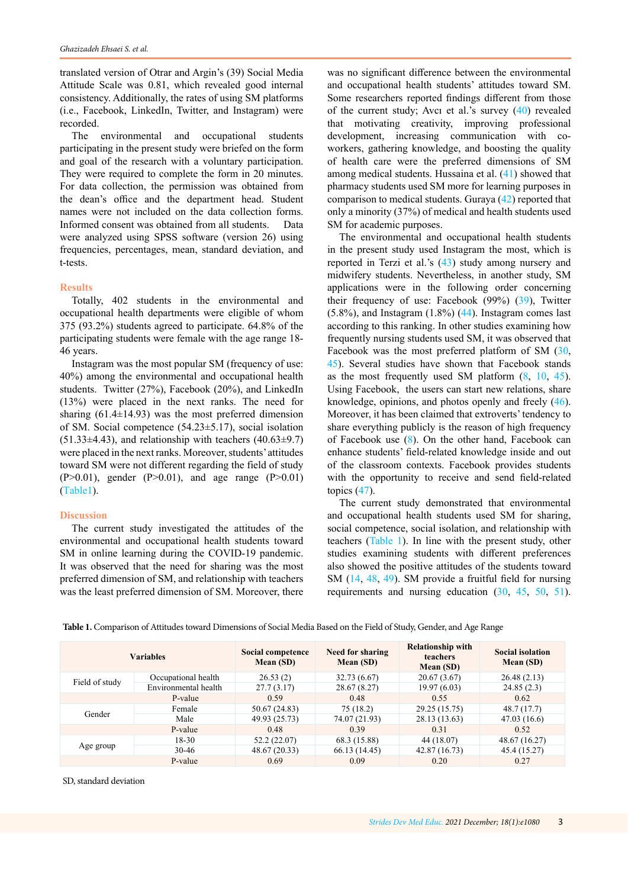translated version of Otrar and Argin's (39) Social Media Attitude Scale was 0.81, which revealed good internal consistency. Additionally, the rates of using SM platforms (i.e., Facebook, LinkedIn, Twitter, and Instagram) were recorded.

The environmental and occupational students participating in the present study were briefed on the form and goal of the research with a voluntary participation. They were required to complete the form in 20 minutes. For data collection, the permission was obtained from the dean's office and the department head. Student names were not included on the data collection forms. Informed consent was obtained from all students. Data were analyzed using SPSS software (version 26) using frequencies, percentages, mean, standard deviation, and t-tests.

## **Results**

Totally, 402 students in the environmental and occupational health departments were eligible of whom 375 (93.2%) students agreed to participate. 64.8% of the participating students were female with the age range 18- 46 years.

Instagram was the most popular SM (frequency of use: 40%) among the environmental and occupational health students. Twitter (27%), Facebook (20%), and LinkedIn (13%) were placed in the next ranks. The need for sharing  $(61.4\pm14.93)$  was the most preferred dimension of SM. Social competence (54.23±5.17), social isolation  $(51.33\pm4.43)$ , and relationship with teachers  $(40.63\pm9.7)$ were placed in the next ranks. Moreover, students' attitudes toward SM were not different regarding the field of study (P>0.01), gender (P>0.01), and age range (P>0.01) (Table1).

## **Discussion**

The current study investigated the attitudes of the environmental and occupational health students toward SM in online learning during the COVID-19 pandemic. It was observed that the need for sharing was the most preferred dimension of SM, and relationship with teachers was the least preferred dimension of SM. Moreover, there

was no significant difference between the environmental and occupational health students' attitudes toward SM. Some researchers reported findings different from those of the current study; Avcı et al.'s survey ([40\)](#page-4-0) revealed that motivating creativity, improving professional development, increasing communication with coworkers, gathering knowledge, and boosting the quality of health care were the preferred dimensions of SM among medical students. Hussaina et al. [\(41](#page-4-0)) showed that pharmacy students used SM more for learning purposes in comparison to medical students. Guraya [\(42](#page-4-0)) reported that only a minority (37%) of medical and health students used SM for academic purposes.

The environmental and occupational health students in the present study used Instagram the most, which is reported in Terzi et al.'s ([43\)](#page-4-0) study among nursery and midwifery students. Nevertheless, in another study, SM applications were in the following order concerning their frequency of use: Facebook (99%) ([39\)](#page-4-0), Twitter  $(5.8\%)$ , and Instagram  $(1.8\%)$   $(44)$  $(44)$ . Instagram comes last according to this ranking. In other studies examining how frequently nursing students used SM, it was observed that Facebook was the most preferred platform of SM ([30,](#page-4-0) [45](#page-4-0)). Several studies have shown that Facebook stands as the most frequently used SM platform  $(8, 10, 45)$  $(8, 10, 45)$  $(8, 10, 45)$  $(8, 10, 45)$  $(8, 10, 45)$  $(8, 10, 45)$ . Using Facebook, the users can start new relations, share knowledge, opinions, and photos openly and freely ([46\)](#page-4-0). Moreover, it has been claimed that extroverts' tendency to share everything publicly is the reason of high frequency of Facebook use [\(8](#page-3-0)). On the other hand, Facebook can enhance students' field-related knowledge inside and out of the classroom contexts. Facebook provides students with the opportunity to receive and send field-related topics [\(47](#page-4-0)).

The current study demonstrated that environmental and occupational health students used SM for sharing, social competence, social isolation, and relationship with teachers (Table 1). In line with the present study, other studies examining students with different preferences also showed the positive attitudes of the students toward SM ([14,](#page-3-0) [48,](#page-4-0) [49](#page-4-0)). SM provide a fruitful field for nursing requirements and nursing education [\(30](#page-4-0), [45](#page-4-0), [50,](#page-4-0) [51\)](#page-4-0).

**Table 1.** Comparison of Attitudes toward Dimensions of Social Media Based on the Field of Study, Gender, and Age Range

| <b>Variables</b> |                      | Social competence<br>Mean (SD) | <b>Need for sharing</b><br>Mean (SD) | <b>Relationship with</b><br><b>teachers</b><br>Mean (SD) | <b>Social isolation</b><br><b>Mean (SD)</b> |
|------------------|----------------------|--------------------------------|--------------------------------------|----------------------------------------------------------|---------------------------------------------|
| Field of study   | Occupational health  | 26.53(2)                       | 32.73 (6.67)                         | 20.67(3.67)                                              | 26.48(2.13)                                 |
|                  | Environmental health | 27.7(3.17)                     | 28.67 (8.27)                         | 19.97(6.03)                                              | 24.85(2.3)                                  |
|                  | P-value              | 0.59                           | 0.48                                 | 0.55                                                     | 0.62                                        |
| Gender           | Female               | 50.67 (24.83)                  | 75(18.2)                             | 29.25 (15.75)                                            | 48.7 (17.7)                                 |
|                  | Male                 | 49.93 (25.73)                  | 74.07 (21.93)                        | 28.13 (13.63)                                            | 47.03(16.6)                                 |
|                  | P-value              | 0.48                           | 0.39                                 | 0.31                                                     | 0.52                                        |
| Age group        | 18-30                | 52.2(22.07)                    | 68.3 (15.88)                         | 44 (18.07)                                               | 48.67 (16.27)                               |
|                  | $30-46$              | 48.67 (20.33)                  | 66.13 (14.45)                        | 42.87 (16.73)                                            | 45.4 (15.27)                                |
|                  | P-value              | 0.69                           | 0.09                                 | 0.20                                                     | 0.27                                        |

SD, standard deviation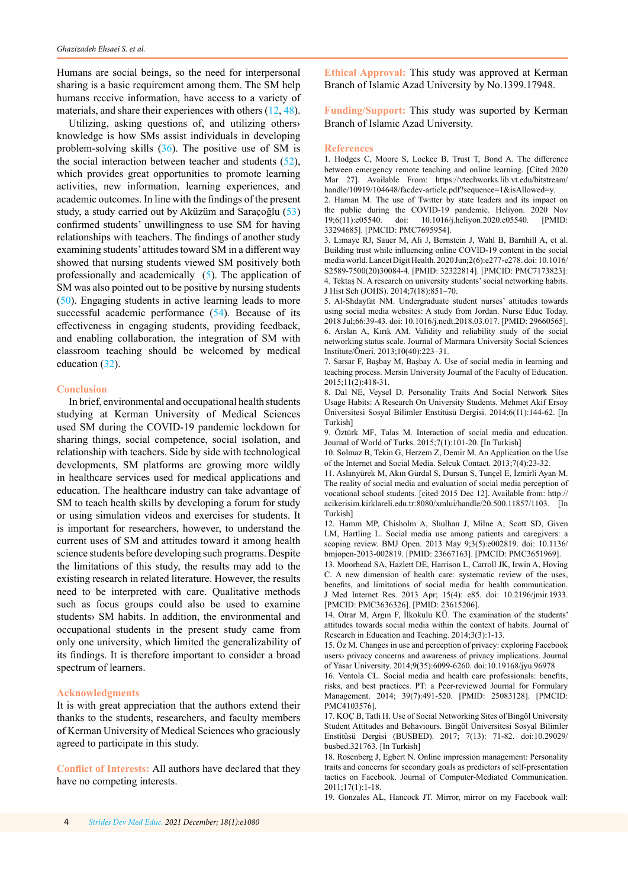<span id="page-3-0"></span>Humans are social beings, so the need for interpersonal sharing is a basic requirement among them. The SM help humans receive information, have access to a variety of materials, and share their experiences with others (12, [48](#page-4-0)).

Utilizing, asking questions of, and utilizing others› knowledge is how SMs assist individuals in developing problem-solving skills [\(36](#page-4-0)). The positive use of SM is the social interaction between teacher and students [\(52](#page-4-0)), which provides great opportunities to promote learning activities, new information, learning experiences, and academic outcomes. In line with the findings of the present study, a study carried out by Aküzüm and Saraçoğlu ([53\)](#page-4-0) confirmed students' unwillingness to use SM for having relationships with teachers. The findings of another study examining students' attitudes toward SM in a different way showed that nursing students viewed SM positively both professionally and academically (5). The application of SM was also pointed out to be positive by nursing students [\(50](#page-4-0)). Engaging students in active learning leads to more successful academic performance [\(54](#page-4-0)). Because of its effectiveness in engaging students, providing feedback, and enabling collaboration, the integration of SM with classroom teaching should be welcomed by medical education ([32\)](#page-4-0).

# **Conclusion**

In brief, environmental and occupational health students studying at Kerman University of Medical Sciences used SM during the COVID-19 pandemic lockdown for sharing things, social competence, social isolation, and relationship with teachers. Side by side with technological developments, SM platforms are growing more wildly in healthcare services used for medical applications and education. The healthcare industry can take advantage of SM to teach health skills by developing a forum for study or using simulation videos and exercises for students. It is important for researchers, however, to understand the current uses of SM and attitudes toward it among health science students before developing such programs. Despite the limitations of this study, the results may add to the existing research in related literature. However, the results need to be interpreted with care. Qualitative methods such as focus groups could also be used to examine students› SM habits. In addition, the environmental and occupational students in the present study came from only one university, which limited the generalizability of its findings. It is therefore important to consider a broad spectrum of learners.

## **Acknowledgments**

It is with great appreciation that the authors extend their thanks to the students, researchers, and faculty members of Kerman University of Medical Sciences who graciously agreed to participate in this study.

**Conflict of Interests:** All authors have declared that they have no competing interests.

**Ethical Approval:** This study was approved at Kerman Branch of Islamic Azad University by No.1399.17948.

**Funding/Support:** This study was suported by Kerman Branch of Islamic Azad University.

#### **References**

1. Hodges C, Moore S, Lockee B, Trust T, Bond A. The difference between emergency remote teaching and online learning. [Cited 2020 Mar 27]. Available From: https://vtechworks.lib.vt.edu/bitstream/ handle/10919/104648/facdev-article.pdf?sequence=1&isAllowed=y.

2. Haman M. The use of Twitter by state leaders and its impact on the public during the COVID-19 pandemic. Heliyon. 2020 Nov 19;6(11):e05540. doi: 10.1016/j.heliyon.2020.e05540. [PMID: 33294685]. [PMCID: PMC7695954].

3. Limaye RJ, Sauer M, Ali J, Bernstein J, Wahl B, Barnhill A, et al. Building trust while influencing online COVID-19 content in the social media world. Lancet Digit Health. 2020 Jun;2(6):e277-e278. doi: 10.1016/ S2589-7500(20)30084-4. [PMID: 32322814]. [PMCID: [PMC7173823](http://www.ncbi.nlm.nih.gov/pmc/articles/pmc7173823/)]. 4. Tektaş N. A research on university students' social networking habits. J Hist Sch (JOHS). 2014;7(18):851–70.

5. Al-Shdayfat NM. Undergraduate student nurses' attitudes towards using social media websites: A study from Jordan. Nurse Educ Today. 2018 Jul;66:39-43. doi: 10.1016/j.nedt.2018.03.017. [PMID: 29660565]. 6. Arslan A, Kırık AM. Validity and reliability study of the social networking status scale. Journal of Marmara University Social Sciences Institute/Öneri. 2013;10(40):223–31.

7. Sarsar F, Başbay M, Başbay A. Use of social media in learning and teaching process. Mersin University Journal of the Faculty of Education. 2015;11(2):418-31.

8. Dal NE, Veysel D. Personality Traits And Social Network Sites Usage Habits: A Research On University Students. Mehmet Akif Ersoy Üniversitesi Sosyal Bilimler Enstitüsü Dergisi. 2014;6(11):144-62. [In Turkish]

9. Öztürk MF, Talas M. Interaction of social media and education. Journal of World of Turks. 2015;7(1):101-20. [In Turkish]

10. Solmaz B, Tekin G, Herzem Z, Demir M. An Application on the Use of the Internet and Social Media. Selcuk Contact. 2013;7(4):23-32.

11. Aslanyürek M, Akın Gürdal S, Dursun S, Tunçel E, İzmirli Ayan M. The reality of social media and evaluation of social media perception of vocational school students. [cited 2015 Dec 12]. Available from: http:// acikerisim.kirklareli.edu.tr:8080/xmlui/handle/20.500.11857/1103. [In Turkish]

12. Hamm MP, Chisholm A, Shulhan J, Milne A, Scott SD, Given LM, Hartling L. Social media use among patients and caregivers: a scoping review. BMJ Open. 2013 May 9;3(5):e002819. doi: 10.1136/ bmjopen-2013-002819. [PMID: 23667163]. [PMCID: [PMC3651969\]](http://www.ncbi.nlm.nih.gov/pmc/articles/pmc3651969/).

13. Moorhead SA, Hazlett DE, Harrison L, Carroll JK, Irwin A, Hoving C. A new dimension of health care: systematic review of the uses, benefits, and limitations of social media for health communication. J Med Internet Res. 2013 Apr; 15(4): e85. doi: [10.2196/jmir.1933.](https://dx.doi.org/10.2196%2Fjmir.1933) [PMCID: PMC3636326]. [PMID: [23615206](https://www.ncbi.nlm.nih.gov/pubmed/23615206)].

14. Otrar M, Argın F, İlkokulu KÜ. The examination of the students' attitudes towards social media within the context of habits. Journal of Research in Education and Teaching. 2014;3(3):1-13.

15. Öz M. Changes in use and perception of privacy: exploring Facebook users› privacy concerns and awareness of privacy implications. Journal of Yasar University. 2014;9(35):6099-6260. [doi:10.19168/jyu.96978](https://doi.org/10.19168/jyu.96978)

16. Ventola CL. Social media and health care professionals: benefits, risks, and best practices. PT: a Peer-reviewed Journal for Formulary Management. 2014; 39(7):491-520. [PMID: 25083128]. [PMCID: PMC4103576].

17. KOÇ B, Tatli H. Use of Social Networking Sites of Bingöl University Student Attitudes and Behaviours. Bingöl Üniversitesi Sosyal Bilimler Enstitüsü Dergisi (BUSBED). 2017; 7(13): 71-82. [doi:10.29029/](https://doi.org/10.29029/busbed.321763) [busbed.321763](https://doi.org/10.29029/busbed.321763). [In Turkish]

18. Rosenberg J, Egbert N. Online impression management: Personality traits and concerns for secondary goals as predictors of self-presentation tactics on Facebook. Journal of Computer-Mediated Communication. 2011;17(1):1-18.

19. Gonzales AL, Hancock JT. Mirror, mirror on my Facebook wall: